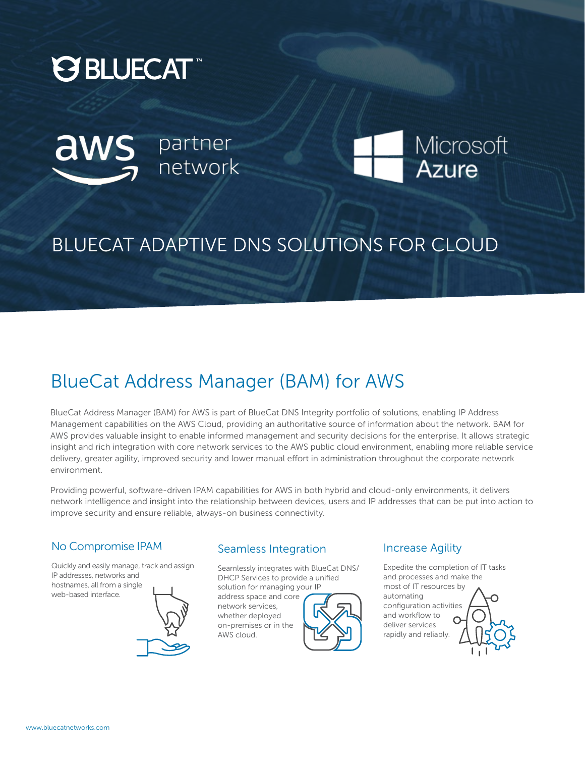





# BLUECAT ADAPTIVE DNS SOLUTIONS FOR CLOUD

# BlueCat Address Manager (BAM) for AWS

BlueCat Address Manager (BAM) for AWS is part of BlueCat DNS Integrity portfolio of solutions, enabling IP Address Management capabilities on the AWS Cloud, providing an authoritative source of information about the network. BAM for AWS provides valuable insight to enable informed management and security decisions for the enterprise. It allows strategic insight and rich integration with core network services to the AWS public cloud environment, enabling more reliable service delivery, greater agility, improved security and lower manual effort in administration throughout the corporate network environment.

Providing powerful, software-driven IPAM capabilities for AWS in both hybrid and cloud-only environments, it delivers network intelligence and insight into the relationship between devices, users and IP addresses that can be put into action to improve security and ensure reliable, always-on business connectivity.

### No Compromise IPAM

Quickly and easily manage, track and assign IP addresses, networks and hostnames, all from a single web-based interface.



#### Seamless Integration

Seamlessly integrates with BlueCat DNS/ DHCP Services to provide a unified solution for managing your IP

address space and core network services, whether deployed on-premises or in the AWS cloud.



#### Increase Agility

Expedite the completion of IT tasks and processes and make the most of IT resources by automating configuration activities and workflow to deliver services rapidly and reliably.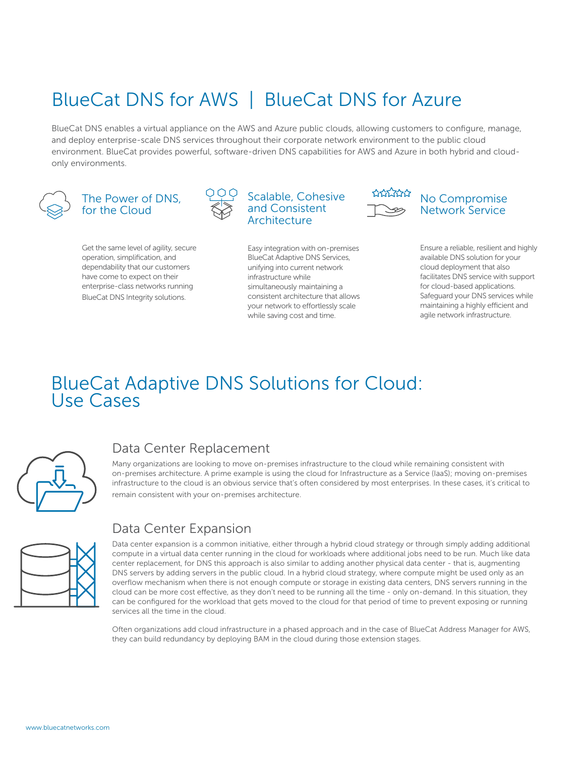# BlueCat DNS for AWS | BlueCat DNS for Azure

BlueCat DNS enables a virtual appliance on the AWS and Azure public clouds, allowing customers to configure, manage, and deploy enterprise-scale DNS services throughout their corporate network environment to the public cloud environment. BlueCat provides powerful, software-driven DNS capabilities for AWS and Azure in both hybrid and cloudonly environments.



#### The Power of DNS, for the Cloud

Get the same level of agility, secure operation, simplification, and dependability that our customers have come to expect on their enterprise-class networks running BlueCat DNS Integrity solutions.





Easy integration with on-premises BlueCat Adaptive DNS Services, unifying into current network infrastructure while simultaneously maintaining a consistent architecture that allows your network to effortlessly scale while saving cost and time.



#### No Compromise Network Service

Ensure a reliable, resilient and highly available DNS solution for your cloud deployment that also facilitates DNS service with support for cloud-based applications. Safeguard your DNS services while maintaining a highly efficient and agile network infrastructure.

# BlueCat Adaptive DNS Solutions for Cloud: Use Cases



## Data Center Replacement

Many organizations are looking to move on-premises infrastructure to the cloud while remaining consistent with on-premises architecture. A prime example is using the cloud for Infrastructure as a Service (IaaS); moving on-premises infrastructure to the cloud is an obvious service that's often considered by most enterprises. In these cases, it's critical to remain consistent with your on-premises architecture.

### Data Center Expansion

Data center expansion is a common initiative, either through a hybrid cloud strategy or through simply adding additional compute in a virtual data center running in the cloud for workloads where additional jobs need to be run. Much like data center replacement, for DNS this approach is also similar to adding another physical data center - that is, augmenting DNS servers by adding servers in the public cloud. In a hybrid cloud strategy, where compute might be used only as an overflow mechanism when there is not enough compute or storage in existing data centers, DNS servers running in the cloud can be more cost effective, as they don't need to be running all the time - only on-demand. In this situation, they can be configured for the workload that gets moved to the cloud for that period of time to prevent exposing or running services all the time in the cloud.

Often organizations add cloud infrastructure in a phased approach and in the case of BlueCat Address Manager for AWS, they can build redundancy by deploying BAM in the cloud during those extension stages.

www.bluecatnetworks.com